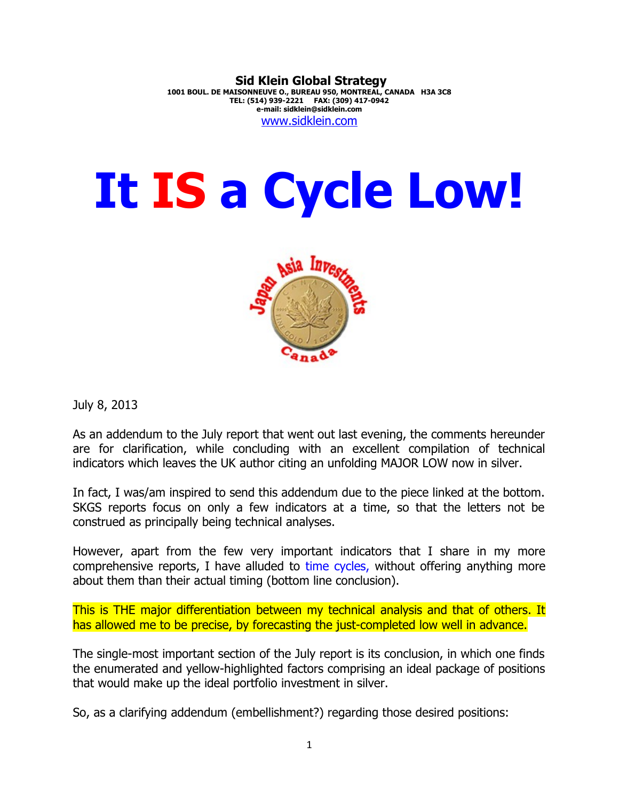## **Sid Klein Global Strategy 1001 BOUL. DE MAISONNEUVE O., BUREAU 950, MONTREAL, CANADA H3A 3C8 TEL: (514) 939-2221 FAX: (309) 417-0942 e-mail: sidklein@sidklein.com** [www.sidklein.com](http://www.sidklein.com/)

## **It IS a Cycle Low!**



July 8, 2013

As an addendum to the July report that went out last evening, the comments hereunder are for clarification, while concluding with an excellent compilation of technical indicators which leaves the UK author citing an unfolding MAJOR LOW now in silver.

In fact, I was/am inspired to send this addendum due to the piece linked at the bottom. SKGS reports focus on only a few indicators at a time, so that the letters not be construed as principally being technical analyses.

However, apart from the few very important indicators that I share in my more comprehensive reports, I have alluded to time cycles, without offering anything more about them than their actual timing (bottom line conclusion).

This is THE major differentiation between my technical analysis and that of others. It has allowed me to be precise, by forecasting the just-completed low well in advance.

The single-most important section of the July report is its conclusion, in which one finds the enumerated and yellow-highlighted factors comprising an ideal package of positions that would make up the ideal portfolio investment in silver.

So, as a clarifying addendum (embellishment?) regarding those desired positions: